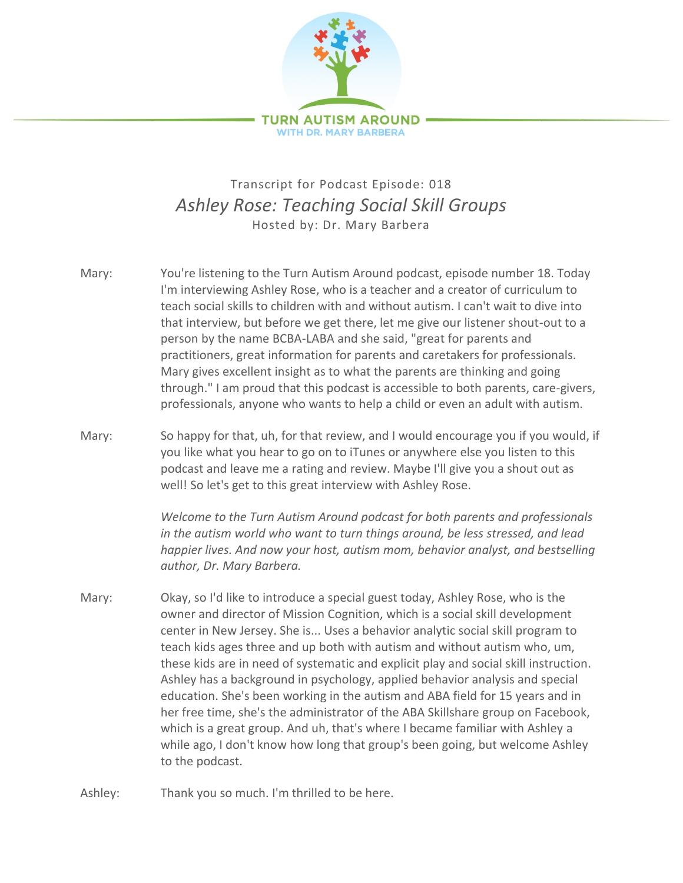

## Transcript for Podcast Episode: 018 *Ashley Rose: Teaching Social Skill Groups* Hosted by: Dr. Mary Barbera

- Mary: You're listening to the Turn Autism Around podcast, episode number 18. Today I'm interviewing Ashley Rose, who is a teacher and a creator of curriculum to teach social skills to children with and without autism. I can't wait to dive into that interview, but before we get there, let me give our listener shout-out to a person by the name BCBA-LABA and she said, "great for parents and practitioners, great information for parents and caretakers for professionals. Mary gives excellent insight as to what the parents are thinking and going through." I am proud that this podcast is accessible to both parents, care-givers, professionals, anyone who wants to help a child or even an adult with autism.
- Mary: So happy for that, uh, for that review, and I would encourage you if you would, if you like what you hear to go on to iTunes or anywhere else you listen to this podcast and leave me a rating and review. Maybe I'll give you a shout out as well! So let's get to this great interview with Ashley Rose.

*Welcome to the Turn Autism Around podcast for both parents and professionals in the autism world who want to turn things around, be less stressed, and lead happier lives. And now your host, autism mom, behavior analyst, and bestselling author, Dr. Mary Barbera.*

- Mary: Okay, so I'd like to introduce a special guest today, Ashley Rose, who is the owner and director of Mission Cognition, which is a social skill development center in New Jersey. She is... Uses a behavior analytic social skill program to teach kids ages three and up both with autism and without autism who, um, these kids are in need of systematic and explicit play and social skill instruction. Ashley has a background in psychology, applied behavior analysis and special education. She's been working in the autism and ABA field for 15 years and in her free time, she's the administrator of the ABA Skillshare group on Facebook, which is a great group. And uh, that's where I became familiar with Ashley a while ago, I don't know how long that group's been going, but welcome Ashley to the podcast.
- Ashley: Thank you so much. I'm thrilled to be here.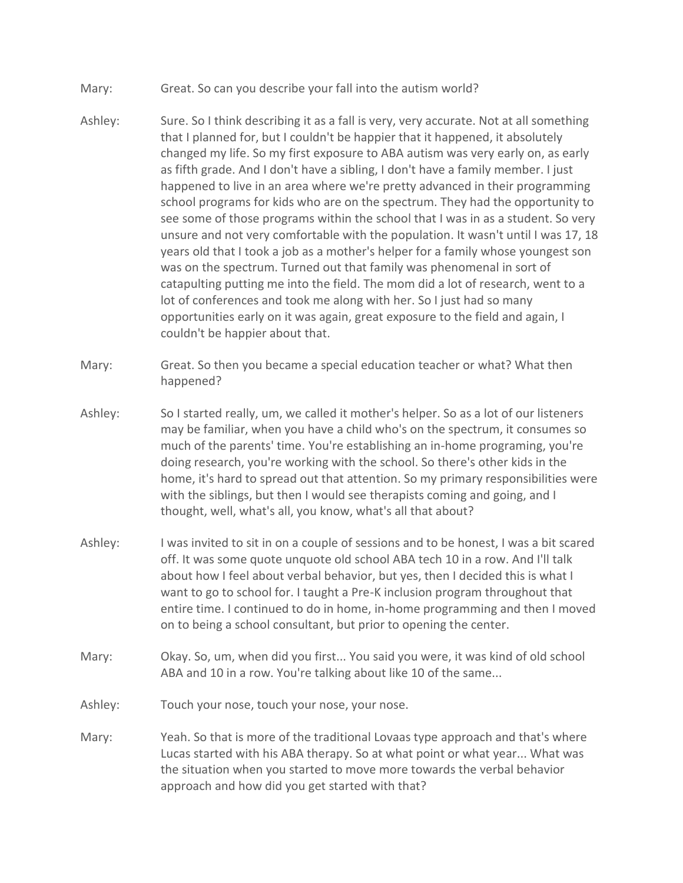- Mary: Great. So can you describe your fall into the autism world?
- Ashley: Sure. So I think describing it as a fall is very, very accurate. Not at all something that I planned for, but I couldn't be happier that it happened, it absolutely changed my life. So my first exposure to ABA autism was very early on, as early as fifth grade. And I don't have a sibling, I don't have a family member. I just happened to live in an area where we're pretty advanced in their programming school programs for kids who are on the spectrum. They had the opportunity to see some of those programs within the school that I was in as a student. So very unsure and not very comfortable with the population. It wasn't until I was 17, 18 years old that I took a job as a mother's helper for a family whose youngest son was on the spectrum. Turned out that family was phenomenal in sort of catapulting putting me into the field. The mom did a lot of research, went to a lot of conferences and took me along with her. So I just had so many opportunities early on it was again, great exposure to the field and again, I couldn't be happier about that.
- Mary: Great. So then you became a special education teacher or what? What then happened?
- Ashley: So I started really, um, we called it mother's helper. So as a lot of our listeners may be familiar, when you have a child who's on the spectrum, it consumes so much of the parents' time. You're establishing an in-home programing, you're doing research, you're working with the school. So there's other kids in the home, it's hard to spread out that attention. So my primary responsibilities were with the siblings, but then I would see therapists coming and going, and I thought, well, what's all, you know, what's all that about?
- Ashley: I was invited to sit in on a couple of sessions and to be honest, I was a bit scared off. It was some quote unquote old school ABA tech 10 in a row. And I'll talk about how I feel about verbal behavior, but yes, then I decided this is what I want to go to school for. I taught a Pre-K inclusion program throughout that entire time. I continued to do in home, in-home programming and then I moved on to being a school consultant, but prior to opening the center.
- Mary: Okay. So, um, when did you first... You said you were, it was kind of old school ABA and 10 in a row. You're talking about like 10 of the same...
- Ashley: Touch your nose, touch your nose, your nose.
- Mary: Yeah. So that is more of the traditional Lovaas type approach and that's where Lucas started with his ABA therapy. So at what point or what year... What was the situation when you started to move more towards the verbal behavior approach and how did you get started with that?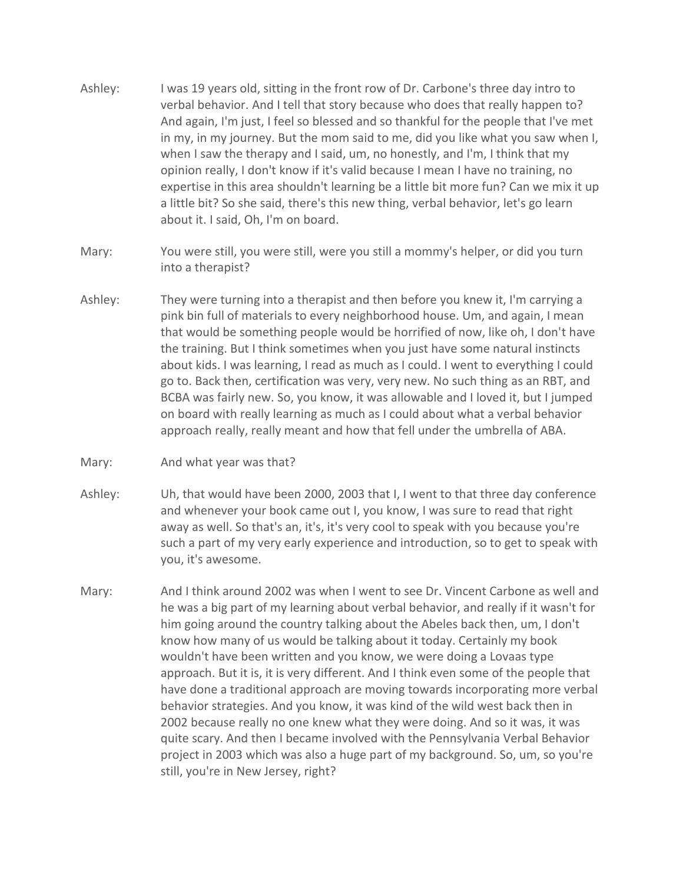- Ashley: I was 19 years old, sitting in the front row of Dr. Carbone's three day intro to verbal behavior. And I tell that story because who does that really happen to? And again, I'm just, I feel so blessed and so thankful for the people that I've met in my, in my journey. But the mom said to me, did you like what you saw when I, when I saw the therapy and I said, um, no honestly, and I'm, I think that my opinion really, I don't know if it's valid because I mean I have no training, no expertise in this area shouldn't learning be a little bit more fun? Can we mix it up a little bit? So she said, there's this new thing, verbal behavior, let's go learn about it. I said, Oh, I'm on board.
- Mary: You were still, you were still, were you still a mommy's helper, or did you turn into a therapist?
- Ashley: They were turning into a therapist and then before you knew it, I'm carrying a pink bin full of materials to every neighborhood house. Um, and again, I mean that would be something people would be horrified of now, like oh, I don't have the training. But I think sometimes when you just have some natural instincts about kids. I was learning, I read as much as I could. I went to everything I could go to. Back then, certification was very, very new. No such thing as an RBT, and BCBA was fairly new. So, you know, it was allowable and I loved it, but I jumped on board with really learning as much as I could about what a verbal behavior approach really, really meant and how that fell under the umbrella of ABA.
- Mary: And what year was that?
- Ashley: Uh, that would have been 2000, 2003 that I, I went to that three day conference and whenever your book came out I, you know, I was sure to read that right away as well. So that's an, it's, it's very cool to speak with you because you're such a part of my very early experience and introduction, so to get to speak with you, it's awesome.
- Mary: And I think around 2002 was when I went to see Dr. Vincent Carbone as well and he was a big part of my learning about verbal behavior, and really if it wasn't for him going around the country talking about the Abeles back then, um, I don't know how many of us would be talking about it today. Certainly my book wouldn't have been written and you know, we were doing a Lovaas type approach. But it is, it is very different. And I think even some of the people that have done a traditional approach are moving towards incorporating more verbal behavior strategies. And you know, it was kind of the wild west back then in 2002 because really no one knew what they were doing. And so it was, it was quite scary. And then I became involved with the Pennsylvania Verbal Behavior project in 2003 which was also a huge part of my background. So, um, so you're still, you're in New Jersey, right?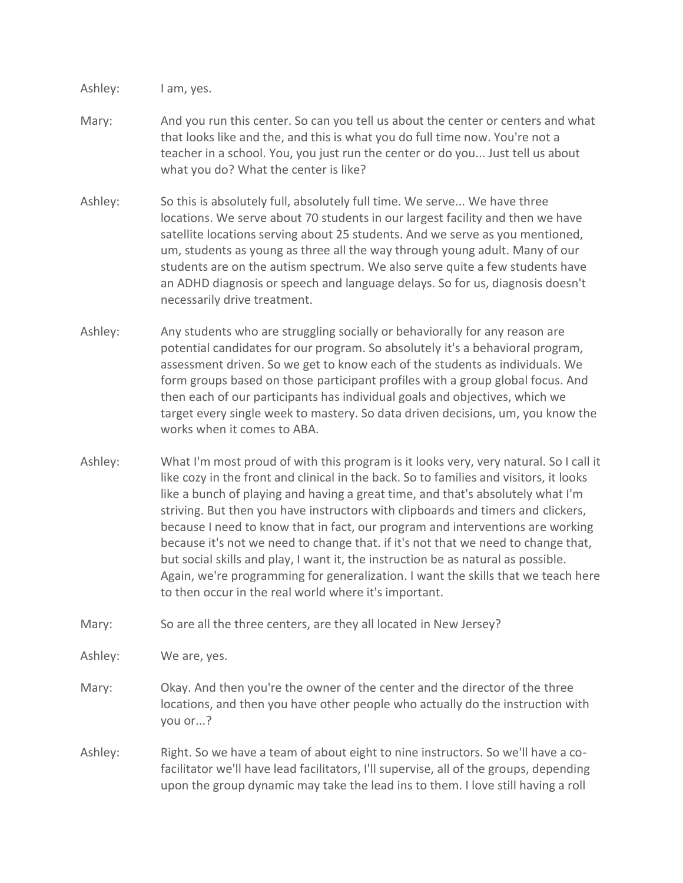Ashley: I am, yes.

- Mary: And you run this center. So can you tell us about the center or centers and what that looks like and the, and this is what you do full time now. You're not a teacher in a school. You, you just run the center or do you... Just tell us about what you do? What the center is like?
- Ashley: So this is absolutely full, absolutely full time. We serve... We have three locations. We serve about 70 students in our largest facility and then we have satellite locations serving about 25 students. And we serve as you mentioned, um, students as young as three all the way through young adult. Many of our students are on the autism spectrum. We also serve quite a few students have an ADHD diagnosis or speech and language delays. So for us, diagnosis doesn't necessarily drive treatment.
- Ashley: Any students who are struggling socially or behaviorally for any reason are potential candidates for our program. So absolutely it's a behavioral program, assessment driven. So we get to know each of the students as individuals. We form groups based on those participant profiles with a group global focus. And then each of our participants has individual goals and objectives, which we target every single week to mastery. So data driven decisions, um, you know the works when it comes to ABA.
- Ashley: What I'm most proud of with this program is it looks very, very natural. So I call it like cozy in the front and clinical in the back. So to families and visitors, it looks like a bunch of playing and having a great time, and that's absolutely what I'm striving. But then you have instructors with clipboards and timers and clickers, because I need to know that in fact, our program and interventions are working because it's not we need to change that. if it's not that we need to change that, but social skills and play, I want it, the instruction be as natural as possible. Again, we're programming for generalization. I want the skills that we teach here to then occur in the real world where it's important.
- Mary: So are all the three centers, are they all located in New Jersey?

Ashley: We are, yes.

- Mary: Okay. And then you're the owner of the center and the director of the three locations, and then you have other people who actually do the instruction with you or...?
- Ashley: Right. So we have a team of about eight to nine instructors. So we'll have a cofacilitator we'll have lead facilitators, I'll supervise, all of the groups, depending upon the group dynamic may take the lead ins to them. I love still having a roll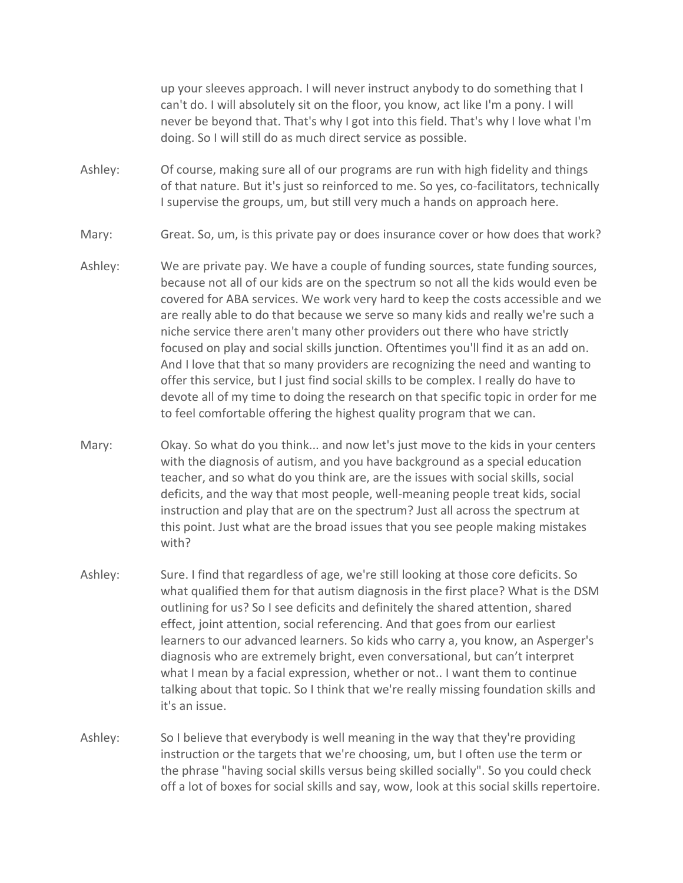up your sleeves approach. I will never instruct anybody to do something that I can't do. I will absolutely sit on the floor, you know, act like I'm a pony. I will never be beyond that. That's why I got into this field. That's why I love what I'm doing. So I will still do as much direct service as possible.

- Ashley: Of course, making sure all of our programs are run with high fidelity and things of that nature. But it's just so reinforced to me. So yes, co-facilitators, technically I supervise the groups, um, but still very much a hands on approach here.
- Mary: Great. So, um, is this private pay or does insurance cover or how does that work?
- Ashley: We are private pay. We have a couple of funding sources, state funding sources, because not all of our kids are on the spectrum so not all the kids would even be covered for ABA services. We work very hard to keep the costs accessible and we are really able to do that because we serve so many kids and really we're such a niche service there aren't many other providers out there who have strictly focused on play and social skills junction. Oftentimes you'll find it as an add on. And I love that that so many providers are recognizing the need and wanting to offer this service, but I just find social skills to be complex. I really do have to devote all of my time to doing the research on that specific topic in order for me to feel comfortable offering the highest quality program that we can.
- Mary: Okay. So what do you think... and now let's just move to the kids in your centers with the diagnosis of autism, and you have background as a special education teacher, and so what do you think are, are the issues with social skills, social deficits, and the way that most people, well-meaning people treat kids, social instruction and play that are on the spectrum? Just all across the spectrum at this point. Just what are the broad issues that you see people making mistakes with?
- Ashley: Sure. I find that regardless of age, we're still looking at those core deficits. So what qualified them for that autism diagnosis in the first place? What is the DSM outlining for us? So I see deficits and definitely the shared attention, shared effect, joint attention, social referencing. And that goes from our earliest learners to our advanced learners. So kids who carry a, you know, an Asperger's diagnosis who are extremely bright, even conversational, but can't interpret what I mean by a facial expression, whether or not.. I want them to continue talking about that topic. So I think that we're really missing foundation skills and it's an issue.
- Ashley: So I believe that everybody is well meaning in the way that they're providing instruction or the targets that we're choosing, um, but I often use the term or the phrase "having social skills versus being skilled socially". So you could check off a lot of boxes for social skills and say, wow, look at this social skills repertoire.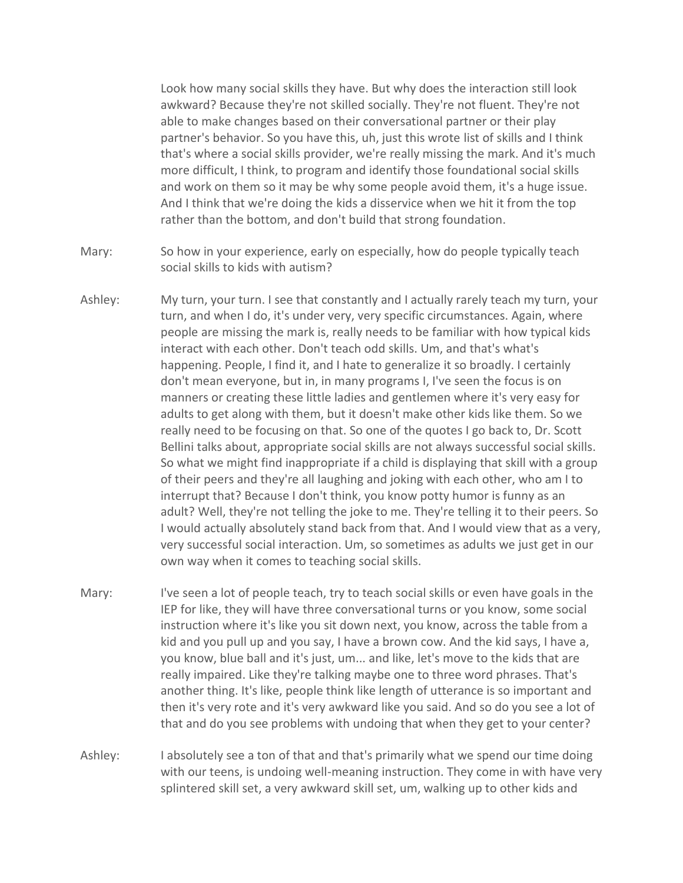Look how many social skills they have. But why does the interaction still look awkward? Because they're not skilled socially. They're not fluent. They're not able to make changes based on their conversational partner or their play partner's behavior. So you have this, uh, just this wrote list of skills and I think that's where a social skills provider, we're really missing the mark. And it's much more difficult, I think, to program and identify those foundational social skills and work on them so it may be why some people avoid them, it's a huge issue. And I think that we're doing the kids a disservice when we hit it from the top rather than the bottom, and don't build that strong foundation.

- Mary: So how in your experience, early on especially, how do people typically teach social skills to kids with autism?
- Ashley: My turn, your turn. I see that constantly and I actually rarely teach my turn, your turn, and when I do, it's under very, very specific circumstances. Again, where people are missing the mark is, really needs to be familiar with how typical kids interact with each other. Don't teach odd skills. Um, and that's what's happening. People, I find it, and I hate to generalize it so broadly. I certainly don't mean everyone, but in, in many programs I, I've seen the focus is on manners or creating these little ladies and gentlemen where it's very easy for adults to get along with them, but it doesn't make other kids like them. So we really need to be focusing on that. So one of the quotes I go back to, Dr. Scott Bellini talks about, appropriate social skills are not always successful social skills. So what we might find inappropriate if a child is displaying that skill with a group of their peers and they're all laughing and joking with each other, who am I to interrupt that? Because I don't think, you know potty humor is funny as an adult? Well, they're not telling the joke to me. They're telling it to their peers. So I would actually absolutely stand back from that. And I would view that as a very, very successful social interaction. Um, so sometimes as adults we just get in our own way when it comes to teaching social skills.
- Mary: I've seen a lot of people teach, try to teach social skills or even have goals in the IEP for like, they will have three conversational turns or you know, some social instruction where it's like you sit down next, you know, across the table from a kid and you pull up and you say, I have a brown cow. And the kid says, I have a, you know, blue ball and it's just, um... and like, let's move to the kids that are really impaired. Like they're talking maybe one to three word phrases. That's another thing. It's like, people think like length of utterance is so important and then it's very rote and it's very awkward like you said. And so do you see a lot of that and do you see problems with undoing that when they get to your center?
- Ashley: I absolutely see a ton of that and that's primarily what we spend our time doing with our teens, is undoing well-meaning instruction. They come in with have very splintered skill set, a very awkward skill set, um, walking up to other kids and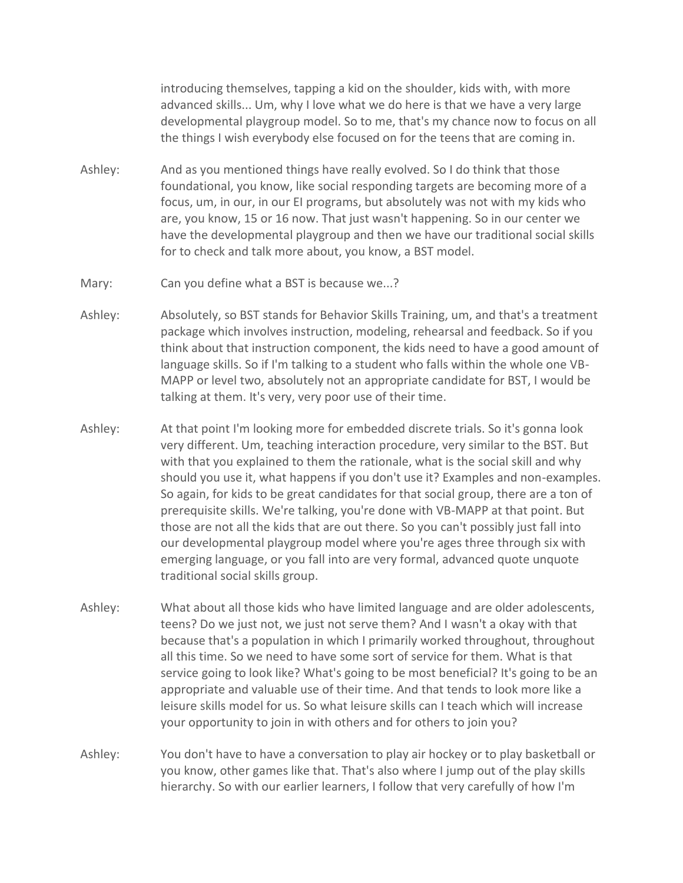introducing themselves, tapping a kid on the shoulder, kids with, with more advanced skills... Um, why I love what we do here is that we have a very large developmental playgroup model. So to me, that's my chance now to focus on all the things I wish everybody else focused on for the teens that are coming in.

- Ashley: And as you mentioned things have really evolved. So I do think that those foundational, you know, like social responding targets are becoming more of a focus, um, in our, in our EI programs, but absolutely was not with my kids who are, you know, 15 or 16 now. That just wasn't happening. So in our center we have the developmental playgroup and then we have our traditional social skills for to check and talk more about, you know, a BST model.
- Mary: Can you define what a BST is because we...?
- Ashley: Absolutely, so BST stands for Behavior Skills Training, um, and that's a treatment package which involves instruction, modeling, rehearsal and feedback. So if you think about that instruction component, the kids need to have a good amount of language skills. So if I'm talking to a student who falls within the whole one VB-MAPP or level two, absolutely not an appropriate candidate for BST, I would be talking at them. It's very, very poor use of their time.
- Ashley: At that point I'm looking more for embedded discrete trials. So it's gonna look very different. Um, teaching interaction procedure, very similar to the BST. But with that you explained to them the rationale, what is the social skill and why should you use it, what happens if you don't use it? Examples and non-examples. So again, for kids to be great candidates for that social group, there are a ton of prerequisite skills. We're talking, you're done with VB-MAPP at that point. But those are not all the kids that are out there. So you can't possibly just fall into our developmental playgroup model where you're ages three through six with emerging language, or you fall into are very formal, advanced quote unquote traditional social skills group.
- Ashley: What about all those kids who have limited language and are older adolescents, teens? Do we just not, we just not serve them? And I wasn't a okay with that because that's a population in which I primarily worked throughout, throughout all this time. So we need to have some sort of service for them. What is that service going to look like? What's going to be most beneficial? It's going to be an appropriate and valuable use of their time. And that tends to look more like a leisure skills model for us. So what leisure skills can I teach which will increase your opportunity to join in with others and for others to join you?
- Ashley: You don't have to have a conversation to play air hockey or to play basketball or you know, other games like that. That's also where I jump out of the play skills hierarchy. So with our earlier learners, I follow that very carefully of how I'm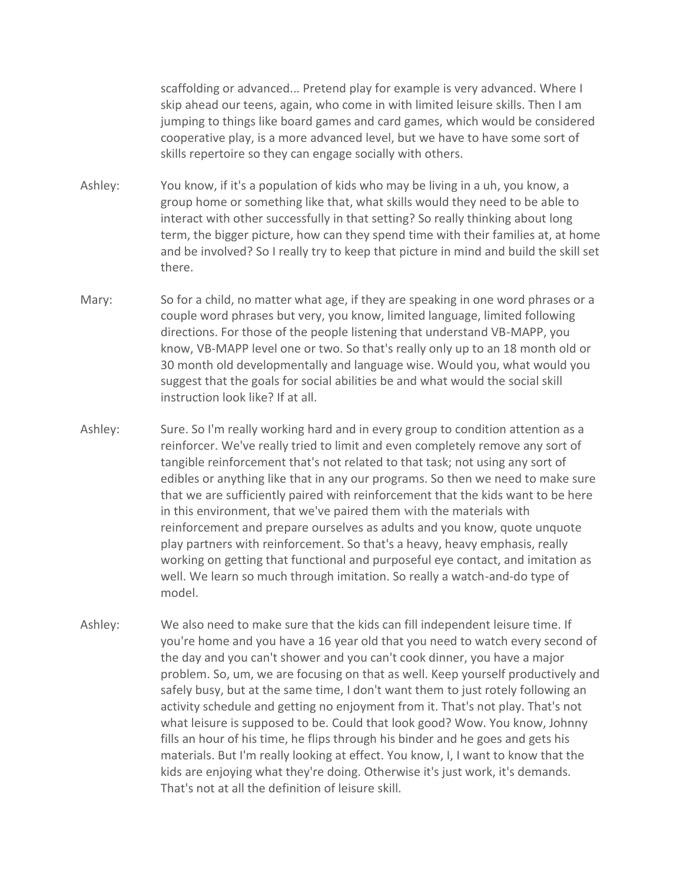scaffolding or advanced... Pretend play for example is very advanced. Where I skip ahead our teens, again, who come in with limited leisure skills. Then I am jumping to things like board games and card games, which would be considered cooperative play, is a more advanced level, but we have to have some sort of skills repertoire so they can engage socially with others.

- Ashley: You know, if it's a population of kids who may be living in a uh, you know, a group home or something like that, what skills would they need to be able to interact with other successfully in that setting? So really thinking about long term, the bigger picture, how can they spend time with their families at, at home and be involved? So I really try to keep that picture in mind and build the skill set there.
- Mary: So for a child, no matter what age, if they are speaking in one word phrases or a couple word phrases but very, you know, limited language, limited following directions. For those of the people listening that understand VB-MAPP, you know, VB-MAPP level one or two. So that's really only up to an 18 month old or 30 month old developmentally and language wise. Would you, what would you suggest that the goals for social abilities be and what would the social skill instruction look like? If at all.
- Ashley: Sure. So I'm really working hard and in every group to condition attention as a reinforcer. We've really tried to limit and even completely remove any sort of tangible reinforcement that's not related to that task; not using any sort of edibles or anything like that in any our programs. So then we need to make sure that we are sufficiently paired with reinforcement that the kids want to be here in this environment, that we've paired them with the materials with reinforcement and prepare ourselves as adults and you know, quote unquote play partners with reinforcement. So that's a heavy, heavy emphasis, really working on getting that functional and purposeful eye contact, and imitation as well. We learn so much through imitation. So really a watch-and-do type of model.
- Ashley: We also need to make sure that the kids can fill independent leisure time. If you're home and you have a 16 year old that you need to watch every second of the day and you can't shower and you can't cook dinner, you have a major problem. So, um, we are focusing on that as well. Keep yourself productively and safely busy, but at the same time, I don't want them to just rotely following an activity schedule and getting no enjoyment from it. That's not play. That's not what leisure is supposed to be. Could that look good? Wow. You know, Johnny fills an hour of his time, he flips through his binder and he goes and gets his materials. But I'm really looking at effect. You know, I, I want to know that the kids are enjoying what they're doing. Otherwise it's just work, it's demands. That's not at all the definition of leisure skill.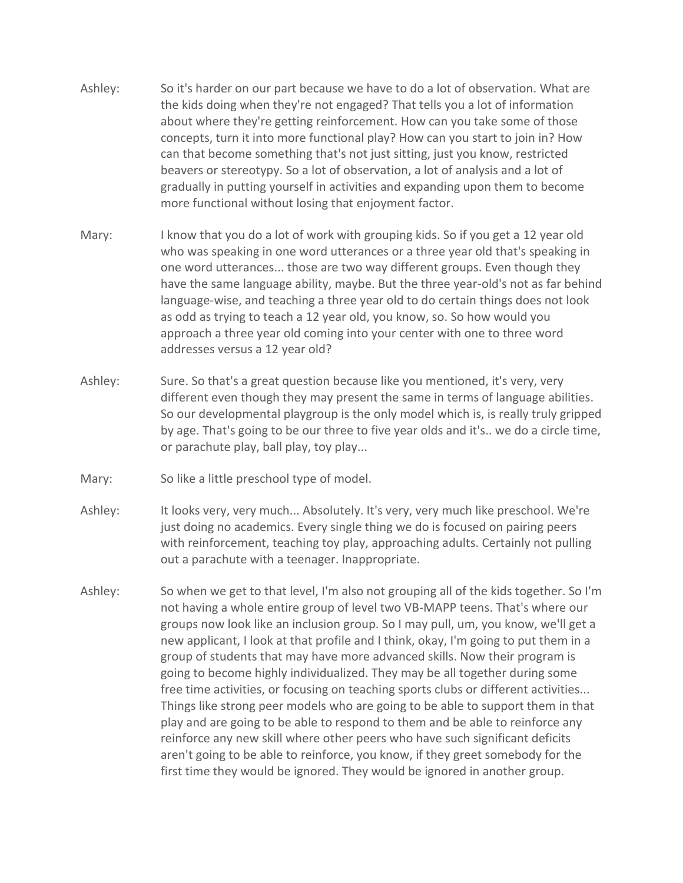- Ashley: So it's harder on our part because we have to do a lot of observation. What are the kids doing when they're not engaged? That tells you a lot of information about where they're getting reinforcement. How can you take some of those concepts, turn it into more functional play? How can you start to join in? How can that become something that's not just sitting, just you know, restricted beavers or stereotypy. So a lot of observation, a lot of analysis and a lot of gradually in putting yourself in activities and expanding upon them to become more functional without losing that enjoyment factor.
- Mary: I know that you do a lot of work with grouping kids. So if you get a 12 year old who was speaking in one word utterances or a three year old that's speaking in one word utterances... those are two way different groups. Even though they have the same language ability, maybe. But the three year-old's not as far behind language-wise, and teaching a three year old to do certain things does not look as odd as trying to teach a 12 year old, you know, so. So how would you approach a three year old coming into your center with one to three word addresses versus a 12 year old?
- Ashley: Sure. So that's a great question because like you mentioned, it's very, very different even though they may present the same in terms of language abilities. So our developmental playgroup is the only model which is, is really truly gripped by age. That's going to be our three to five year olds and it's.. we do a circle time, or parachute play, ball play, toy play...
- Mary: So like a little preschool type of model.
- Ashley: It looks very, very much... Absolutely. It's very, very much like preschool. We're just doing no academics. Every single thing we do is focused on pairing peers with reinforcement, teaching toy play, approaching adults. Certainly not pulling out a parachute with a teenager. Inappropriate.
- Ashley: So when we get to that level, I'm also not grouping all of the kids together. So I'm not having a whole entire group of level two VB-MAPP teens. That's where our groups now look like an inclusion group. So I may pull, um, you know, we'll get a new applicant, I look at that profile and I think, okay, I'm going to put them in a group of students that may have more advanced skills. Now their program is going to become highly individualized. They may be all together during some free time activities, or focusing on teaching sports clubs or different activities... Things like strong peer models who are going to be able to support them in that play and are going to be able to respond to them and be able to reinforce any reinforce any new skill where other peers who have such significant deficits aren't going to be able to reinforce, you know, if they greet somebody for the first time they would be ignored. They would be ignored in another group.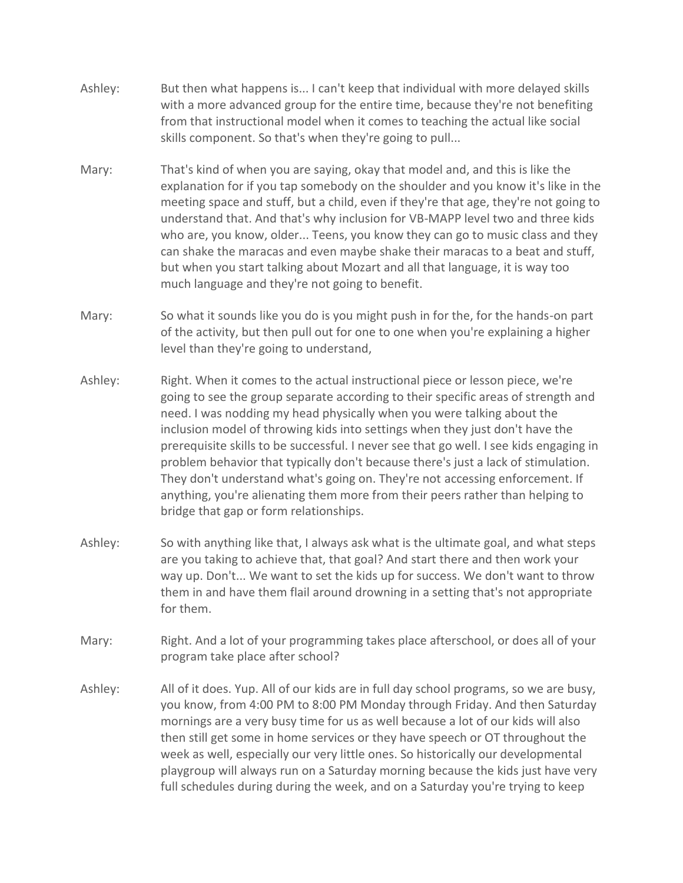- Ashley: But then what happens is... I can't keep that individual with more delayed skills with a more advanced group for the entire time, because they're not benefiting from that instructional model when it comes to teaching the actual like social skills component. So that's when they're going to pull...
- Mary: That's kind of when you are saying, okay that model and, and this is like the explanation for if you tap somebody on the shoulder and you know it's like in the meeting space and stuff, but a child, even if they're that age, they're not going to understand that. And that's why inclusion for VB-MAPP level two and three kids who are, you know, older... Teens, you know they can go to music class and they can shake the maracas and even maybe shake their maracas to a beat and stuff, but when you start talking about Mozart and all that language, it is way too much language and they're not going to benefit.
- Mary: So what it sounds like you do is you might push in for the, for the hands-on part of the activity, but then pull out for one to one when you're explaining a higher level than they're going to understand,
- Ashley: Right. When it comes to the actual instructional piece or lesson piece, we're going to see the group separate according to their specific areas of strength and need. I was nodding my head physically when you were talking about the inclusion model of throwing kids into settings when they just don't have the prerequisite skills to be successful. I never see that go well. I see kids engaging in problem behavior that typically don't because there's just a lack of stimulation. They don't understand what's going on. They're not accessing enforcement. If anything, you're alienating them more from their peers rather than helping to bridge that gap or form relationships.
- Ashley: So with anything like that, I always ask what is the ultimate goal, and what steps are you taking to achieve that, that goal? And start there and then work your way up. Don't... We want to set the kids up for success. We don't want to throw them in and have them flail around drowning in a setting that's not appropriate for them.
- Mary: Right. And a lot of your programming takes place afterschool, or does all of your program take place after school?
- Ashley: All of it does. Yup. All of our kids are in full day school programs, so we are busy, you know, from 4:00 PM to 8:00 PM Monday through Friday. And then Saturday mornings are a very busy time for us as well because a lot of our kids will also then still get some in home services or they have speech or OT throughout the week as well, especially our very little ones. So historically our developmental playgroup will always run on a Saturday morning because the kids just have very full schedules during during the week, and on a Saturday you're trying to keep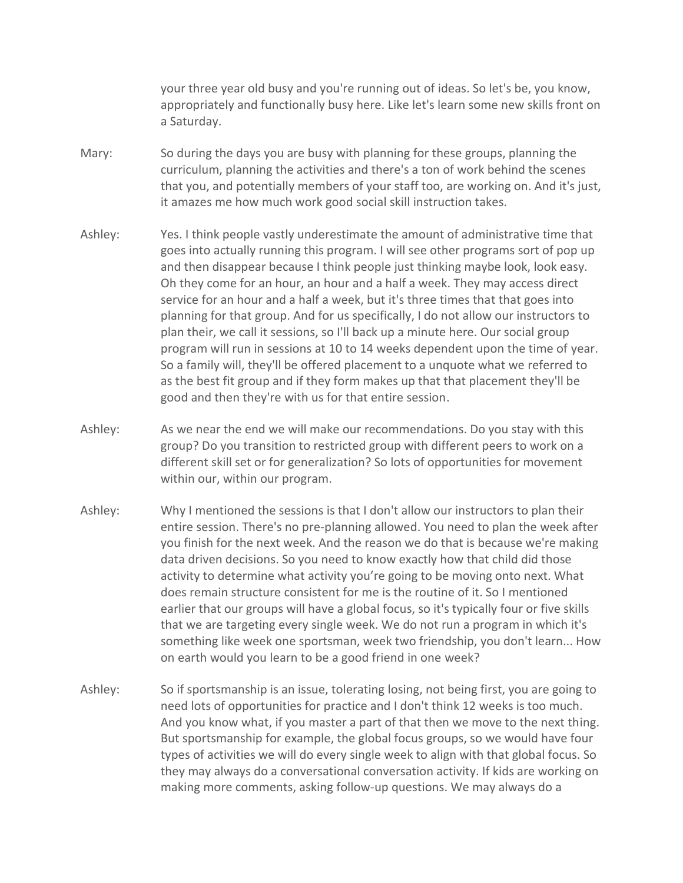your three year old busy and you're running out of ideas. So let's be, you know, appropriately and functionally busy here. Like let's learn some new skills front on a Saturday.

- Mary: So during the days you are busy with planning for these groups, planning the curriculum, planning the activities and there's a ton of work behind the scenes that you, and potentially members of your staff too, are working on. And it's just, it amazes me how much work good social skill instruction takes.
- Ashley: Yes. I think people vastly underestimate the amount of administrative time that goes into actually running this program. I will see other programs sort of pop up and then disappear because I think people just thinking maybe look, look easy. Oh they come for an hour, an hour and a half a week. They may access direct service for an hour and a half a week, but it's three times that that goes into planning for that group. And for us specifically, I do not allow our instructors to plan their, we call it sessions, so I'll back up a minute here. Our social group program will run in sessions at 10 to 14 weeks dependent upon the time of year. So a family will, they'll be offered placement to a unquote what we referred to as the best fit group and if they form makes up that that placement they'll be good and then they're with us for that entire session.
- Ashley: As we near the end we will make our recommendations. Do you stay with this group? Do you transition to restricted group with different peers to work on a different skill set or for generalization? So lots of opportunities for movement within our, within our program.
- Ashley: Why I mentioned the sessions is that I don't allow our instructors to plan their entire session. There's no pre-planning allowed. You need to plan the week after you finish for the next week. And the reason we do that is because we're making data driven decisions. So you need to know exactly how that child did those activity to determine what activity you're going to be moving onto next. What does remain structure consistent for me is the routine of it. So I mentioned earlier that our groups will have a global focus, so it's typically four or five skills that we are targeting every single week. We do not run a program in which it's something like week one sportsman, week two friendship, you don't learn... How on earth would you learn to be a good friend in one week?
- Ashley: So if sportsmanship is an issue, tolerating losing, not being first, you are going to need lots of opportunities for practice and I don't think 12 weeks is too much. And you know what, if you master a part of that then we move to the next thing. But sportsmanship for example, the global focus groups, so we would have four types of activities we will do every single week to align with that global focus. So they may always do a conversational conversation activity. If kids are working on making more comments, asking follow-up questions. We may always do a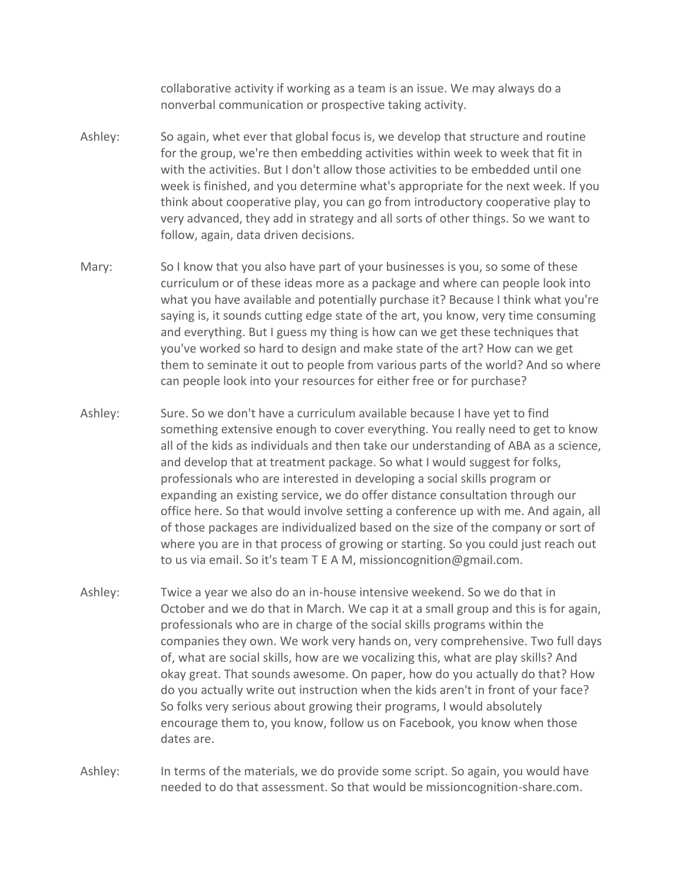collaborative activity if working as a team is an issue. We may always do a nonverbal communication or prospective taking activity.

- Ashley: So again, whet ever that global focus is, we develop that structure and routine for the group, we're then embedding activities within week to week that fit in with the activities. But I don't allow those activities to be embedded until one week is finished, and you determine what's appropriate for the next week. If you think about cooperative play, you can go from introductory cooperative play to very advanced, they add in strategy and all sorts of other things. So we want to follow, again, data driven decisions.
- Mary: So I know that you also have part of your businesses is you, so some of these curriculum or of these ideas more as a package and where can people look into what you have available and potentially purchase it? Because I think what you're saying is, it sounds cutting edge state of the art, you know, very time consuming and everything. But I guess my thing is how can we get these techniques that you've worked so hard to design and make state of the art? How can we get them to seminate it out to people from various parts of the world? And so where can people look into your resources for either free or for purchase?
- Ashley: Sure. So we don't have a curriculum available because I have yet to find something extensive enough to cover everything. You really need to get to know all of the kids as individuals and then take our understanding of ABA as a science, and develop that at treatment package. So what I would suggest for folks, professionals who are interested in developing a social skills program or expanding an existing service, we do offer distance consultation through our office here. So that would involve setting a conference up with me. And again, all of those packages are individualized based on the size of the company or sort of where you are in that process of growing or starting. So you could just reach out to us via email. So it's team T E A M, missioncognition@gmail.com.
- Ashley: Twice a year we also do an in-house intensive weekend. So we do that in October and we do that in March. We cap it at a small group and this is for again, professionals who are in charge of the social skills programs within the companies they own. We work very hands on, very comprehensive. Two full days of, what are social skills, how are we vocalizing this, what are play skills? And okay great. That sounds awesome. On paper, how do you actually do that? How do you actually write out instruction when the kids aren't in front of your face? So folks very serious about growing their programs, I would absolutely encourage them to, you know, follow us on Facebook, you know when those dates are.

Ashley: In terms of the materials, we do provide some script. So again, you would have needed to do that assessment. So that would be missioncognition-share.com.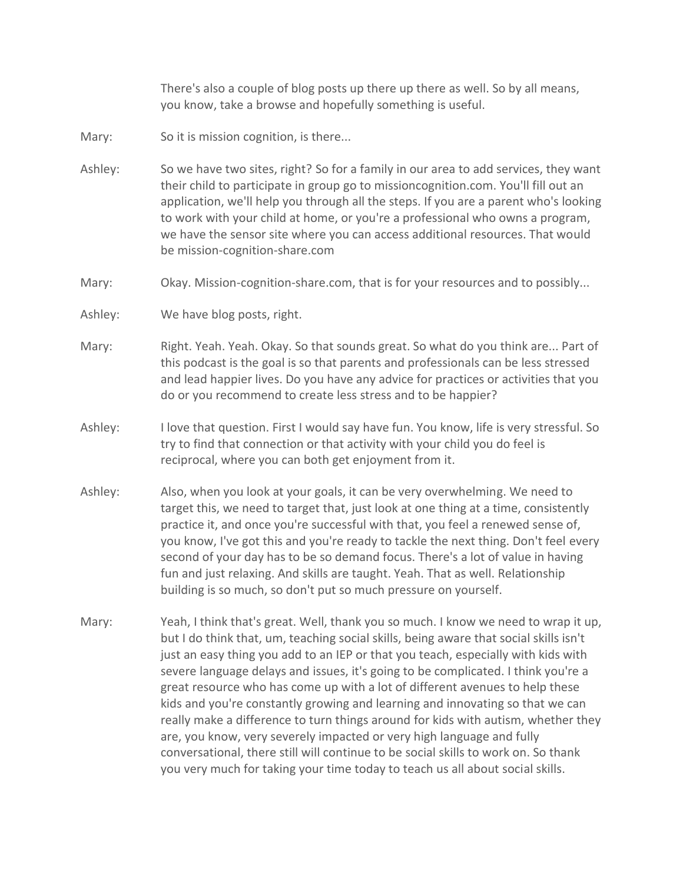There's also a couple of blog posts up there up there as well. So by all means, you know, take a browse and hopefully something is useful.

- Mary: So it is mission cognition, is there...
- Ashley: So we have two sites, right? So for a family in our area to add services, they want their child to participate in group go to missioncognition.com. You'll fill out an application, we'll help you through all the steps. If you are a parent who's looking to work with your child at home, or you're a professional who owns a program, we have the sensor site where you can access additional resources. That would be mission-cognition-share.com
- Mary: Okay. Mission-cognition-share.com, that is for your resources and to possibly...
- Ashley: We have blog posts, right.
- Mary: Right. Yeah. Yeah. Okay. So that sounds great. So what do you think are... Part of this podcast is the goal is so that parents and professionals can be less stressed and lead happier lives. Do you have any advice for practices or activities that you do or you recommend to create less stress and to be happier?
- Ashley: I love that question. First I would say have fun. You know, life is very stressful. So try to find that connection or that activity with your child you do feel is reciprocal, where you can both get enjoyment from it.
- Ashley: Also, when you look at your goals, it can be very overwhelming. We need to target this, we need to target that, just look at one thing at a time, consistently practice it, and once you're successful with that, you feel a renewed sense of, you know, I've got this and you're ready to tackle the next thing. Don't feel every second of your day has to be so demand focus. There's a lot of value in having fun and just relaxing. And skills are taught. Yeah. That as well. Relationship building is so much, so don't put so much pressure on yourself.
- Mary: Yeah, I think that's great. Well, thank you so much. I know we need to wrap it up, but I do think that, um, teaching social skills, being aware that social skills isn't just an easy thing you add to an IEP or that you teach, especially with kids with severe language delays and issues, it's going to be complicated. I think you're a great resource who has come up with a lot of different avenues to help these kids and you're constantly growing and learning and innovating so that we can really make a difference to turn things around for kids with autism, whether they are, you know, very severely impacted or very high language and fully conversational, there still will continue to be social skills to work on. So thank you very much for taking your time today to teach us all about social skills.